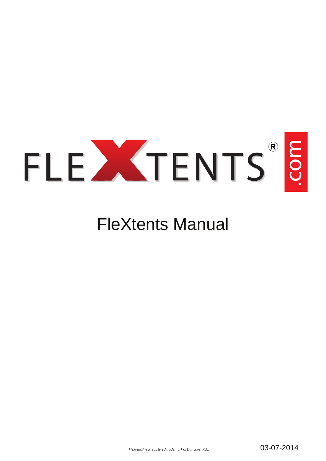

### FleXtents Manual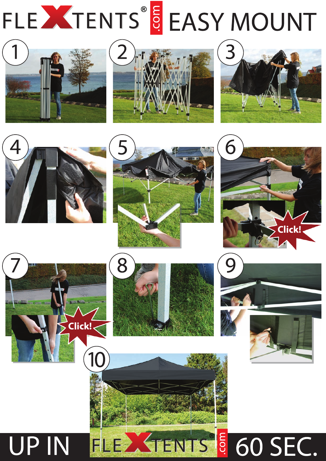















**UP IN** 



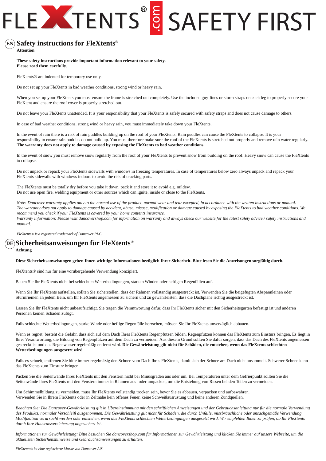### **EN** ® **Safety instructions for FleXtents**

**Attention**

### **These safety instructions provide important information relevant to your safety. Please read them carefully.**

FleXtents® are indented for temporary use only.

Do not set up your FleXtents in bad weather conditions, strong wind or heavy rain.

When you set up your FleXtents you must ensure the frame is stretched out completely. Use the included guy-lines or storm straps on each leg to properly secure your FleXtent and ensure the roof cover is properly stretched out.

Do not leave your FleXtents unattended. It is your responsibility that your FleXtents is safely secured with safety straps and does not cause damage to others.

In case of bad weather conditions, strong wind or heavy rain, you must immediately take down your FleXtents.

In the event of rain there is a risk of rain puddles building up on the roof of your FleXtents. Rain puddles can cause the FleXtents to collapse. It is your responsibility to ensure rain puddles do not build up. You must therefore make sure the roof of the FleXtents is stretched out properly and remove rain water regularly. **The warranty does not apply to damage caused by exposing the FleXtents to bad weather conditions.**

In the event of snow you must remove snow regularly from the roof of your FleXtents to prevent snow from building on the roof. Heavy snow can cause the FleXtents to collapse.

Do not unpack or repack your FleXtents sidewalls with windows in freezing temperatures. In case of temperatures below zero always unpack and repack your FleXtents sidewalls with windows indoors to avoid the risk of cracking parts.

The FleXtents must be totally dry before you take it down, pack it and store it to avoid e.g. mildew. Do not use open fire, welding equipment or other sources which can ignite, inside or close to the FleXtents.

*Note: Dancover warranty applies only to the normal use of the product, normal wear and tear excepted, in accordance with the written instructions or manual. The warranty does not apply to damage caused by accident, abuse, misuse, modification or damage caused by exposing the FleXtents to bad weather conditions. We recommend you check if your FleXtents is covered by your home contents insurance. Warranty information: Please visit dancovershop.com for information on warranty and always check our website for the latest safety advice / safety instructions and manual.* 

*FleXtents® is a registered trademark of Dancover PLC.*

### ® **Sicherheitsanweisungen für FleXtents DE**

### **Achtung**

### **Diese Sicherheitsanweisungen geben Ihnen wichtige Informationen bezüglich Ihrer Sicherheit. Bitte lesen Sie die Anweisungen sorgfältig durch.**

FleXtents® sind nur für eine vorübergehende Verwendung konzipiert.

Bauen Sie Ihr FleXtents nicht bei schlechten Wetterbedingungen, starken Winden oder heftigen Regenfällen auf.

Wenn Sie Ihr FleXtents aufstellen, sollten Sie sicherstellen, dass der Rahmen vollständig ausgestreckt ist. Verwenden Sie die beigefügten Abspannleinen oder Sturmriemen an jedem Bein, um Ihr FleXtents angemessen zu sichern und zu gewährleisten, dass die Dachplane richtig ausgestreckt ist.

Lassen Sie Ihr FleXtents nicht unbeaufsichtigt. Sie tragen die Verantwortung dafür, dass Ihr FleXtents sicher mit den Sicherheitsgurten befestigt ist und anderen Personen keinen Schaden zufügt.

Falls schlechte Wetterbedingungen, starke Winde oder heftige Regenfälle herrschen, müssen Sie Ihr FleXtents unverzüglich abbauen.

Wenn es regnet, besteht die Gefahr, dass sich auf dem Dach Ihres FleXtents Regenpfützen bilden. Regenpfützen können das FleXtents zum Einsturz bringen. Es liegt in Ihrer Verantwortung, die Bildung von Regenpfützen auf dem Dach zu vermeiden. Aus diesem Grund sollten Sie dafür sorgen, dass das Dach des FleXtents angemessen gestreckt ist und das Regenwasser regelmäßig entfernt wird. **Die Gewährleistung gilt nicht für Schäden, die entstehen, wenn das FleXtents schlechten Wetterbedingungen ausgesetzt wird.**

Falls es schneit, entfernen Sie bitte immer regelmäßig den Schnee vom Dach Ihres FleXtents, damit sich der Schnee am Dach nicht ansammelt. Schwerer Schnee kann das FleXtents zum Einsturz bringen.

Packen Sie die Seitenwände Ihres FleXtents mit den Fenstern nicht bei Minusgraden aus oder um. Bei Temperaturen unter dem Gefrierpunkt sollten Sie die Seitenwände Ihres FleXtents mit den Fenstern immer in Räumen aus- oder umpacken, um die Entstehung von Rissen bei den Teilen zu vermeiden.

Um Schimmelbildung zu vermeiden, muss Ihr FleXtents vollständig trocken sein, bevor Sie es abbauen, verpacken und aufbewahren. Verwenden Sie in Ihrem FleXtents oder in Zeltnähe kein offenes Feuer, keine Schweißausrüstung und keine anderen Zündquellen.

*Beachten Sie: Die Dancover-Gewährleistung gilt in Übereinstimmung mit den schriftlichen Anweisungen und der Gebrauchsanleitung nur für die normale Verwendung des Produkts, normaler Verschleiß ausgenommen. Die Gewährleistung gilt nicht für Schäden, die durch Unfälle, missbräuchliche oder unsachgemäße Verwendung, Modifikation verursacht werden oder entstehen, wenn das FleXtents schlechten Wetterbedingungen ausgesetzt wird. Wir empfehlen Ihnen zu prüfen, ob Ihr FleXtents durch Ihre Hausratsversicherung abgesichert ist.*

*Informationen zur Gewährleistung: Bitte besuchen Sie dancovershop.com für Informationen zur Gewährleistung und klicken Sie immer auf unsere Webseite, um die aktuellsten Sicherheitshinweise und Gebrauchsanweisungen zu erhalten.*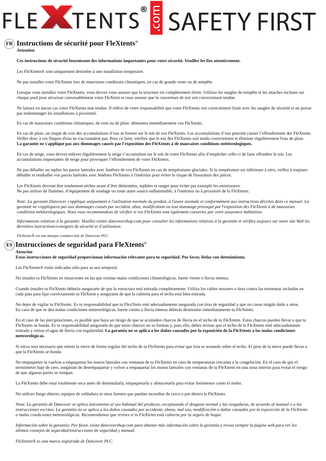### ® **Instructions de sécurité pour FleXtents FR**

**Attention**

**Ces instructions de sécurité fournissent des informations importantes pour votre sécurité. Veuillez les lire attentivement.**

Les FleXtents® sont uniquement destinées à une installation temporaire.

Ne pas installer votre FleXtents lors de mauvaises conditions climatiques, en cas de grands vents ou de tempête.

Lorsque vous installez votre FleXtents, vous devrez vous assurer que la structure est complètement étirée. Utilisez les sangles de tempête et les attaches incluses sur chaque pied pour sécuriser convenablement votre FleXtent et vous assurer que la couverture de toit soit correctement tendue.

Ne laissez en aucun cas votre FleXtents non tendue. Il relève de votre responsabilité que votre FleXtents soit correctement fixée avec les sangles de sécurité et ne puisse pas endommager les installations à proximité.

En cas de mauvaises conditions climatiques, de vent ou de pluie, démontez immédiatement vos FleXtents.

En cas de pluie, un risque de voir des accumulations d'eau se former sur le toit de vos FleXtents. Les accumulations d'eau peuvent causer l'effondrement des FleXtents. Veiller donc à ces flaques d'eau ne s'accumulent pas. Pour ce faire, vérifiez que le toit des FleXtents soit tendu correctement et éliminer régulièrement l'eau de pluie. **La garantie ne s'applique pas aux dommages causés par l'exposition des FleXtents à de mauvaises conditions météorologiques.**

En cas de neige, vous devrez enlever régulièrement la neige s'accumulant sur le toit de votre FleXtents afin d'empêcher celle-ci de faire effondrer le toit. Les accumulations importantes de neige pour provoquer l'effondrement de votre FleXtents.

Ne pas déballer ou replier les parois latérales avec fenêtres de vos FleXtents en cas de températures glaciales. Si la température est inférieure à zéro, veillez à toujours déballer et remballer vos parois latérales avec fenêtres FleXtents à l'intérieur pour éviter le risque de fissuration des pièces.

Les FleXtents devront être totalement sèches avant d'être démontées, repliées et ranger pour éviter par exemple les moisissures. Ne pas utiliser de flammes, d'équipement de soudage ou toute autre source enflammable, à l'intérieur ou à proximité de la FleXtents.

*Note: La garantie Dancover s'applique uniquement à l'utilisation normale du produit, à l'usure normale et conformément aux instructions décrites dans ce manuel. La garantie ne s'appliquera pas aux dommages causés par accident, abus, modification ou tout dommage provoqué par l'exposition des FleXtents à de mauvaises conditions météorologiques. Nous vous recommandons de vérifier si vos FleXtents sont également couvertes par votre assurance habitation.*

*Informations relatives à la garantie: Veuillez visiter dancovershop.com pour consulter les informations relatives à la garantie et vérifiez toujours sur notre site Web les dernières instructions/consignes de sécurité et d'utilisation.*

*FleXtents*® *est une marque commerciale de Dancover PLC.*

### ® **Instrucciones de seguridad para FleXtents ES**

### **Atención**

**Estas instrucciones de seguridad proporcionan información relevante para tu seguridad. Por favor, léelas con detenimiento.**

Las FleXtents® están indicadas sólo para su uso temporal.

No instales tu FleXtents en situaciones en las que existan malas condiciones climatológicas, fuerte viento o lluvia intensa.

Cuando instales tu FleXtents deberás asegurarte de que la estructura está estirada completamente. Utiliza los cables tensores o tiras contra las tormentas incluidas en cada pata para fijar correctamente tu FleXtent y asegurarte de que la cubierta para el techo está bien estirada.

No dejes de vigilar tu FleXtents. Es tu responsabilidad que tu FlexTents esté adecuadamente asegurada con tiras de seguridad y que no cause ningún daño a otros. En caso de que se den malas condiciones meteorológicas, fuerte viento o lluvia intensa deberás desmontar inmediatamente tu FleXtents.

En el caso de las precipitaciones, es posible que haya un riesgo de que se acumulen charcos de lluvia en el techo de tu FleXtents. Estos charcos pueden llevar a que tu FleXtents se hunda. Es tu responsabilidad asegurarte de que estos charcos no se forman y, para ello, debes revisar que el techo de la FleXtents esté adecuadamente estirado y retirar el agua de lluvia con regularidad. **La garantía no se aplica a los daños causados por la exposición de la FleXtents a las malas condiciones meteorológicas.**

Si nieva será necesario que retires la nieve de forma regular del techo de tu FleXtents para evitar que ésta se acumule sobre el techo. El peso de la nieve puede llevar a que la FleXtents se hunda.

No empaquetes ni vuelvas a empaquetar los muros laterales con ventanas de tu FleXtents en caso de temperaturas cercanas a la congelación. En el caso de que el termómetro baje de cero, asegúrate de desempaquetar y volver a empaquetar los muros laterales con ventanas de tu FleXtents en una zona interior para evitar el riesgo de que algunas partes se rompan.

La FleXtents debe estar totalmente seca antes de desinstalarla, empaquetarla y almacenarla para evitar fenómenos como el moho.

No utilices fuego abierto, equipos de soldadura ni otras fuentes que puedan incendiar de cerca o por dentro la FleXtents.

*Nota: La garantía de Dancover se aplica únicamente al uso habitual del producto, exceptuando el desgaste normal y las rasgaduras, de acuerdo al manual o a las instrucciones escritas. La garantía no se aplica a los daños causados por accidente, abuso, mal uso, modificación o daños causados por la exposición de la FleXtents a malas condiciones meteorológicas. Recomendamos que revises si tu FleXtents está cubierta por tu seguro de hogar.*

*Información sobre la garantía: Por favor, visita dancovershop.com para obtener más información sobre la garantía y revisa siempre la página web para ver los últimos consejos de seguridad/instrucciones de seguridad y manual.*

*FleXtents® es una marca registrada de Dancover PLC.*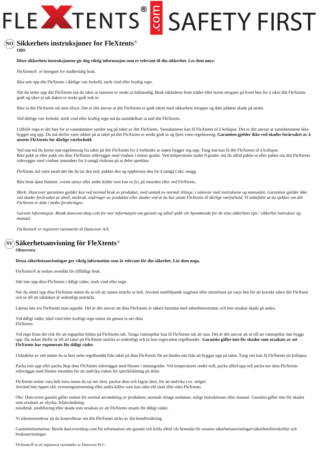### ® **Sikkerhets instruksjoner for FleXtents NO OBS**

### **Disse sikkerhets instruksjonene gir deg viktig informasjon som er relevant til din sikkerhet. Les dem nøye.**

FleXtents*®* er beregnet for midlertidig bruk.

Ikke sett opp ditt FleXtents i dårlige vær forhold, sterk vind eller kraftig regn.

Når du setter opp ditt FleXtents må du sikre at rammen er strekt ut fullstendig. Bruk inkluderte feste tråder eller storm stropper på hvert ben for å sikre ditt FleXtents godt og sikre at tak duken er strekt godt nok ut.

Ikke la ditt FleXtents stå uten tilsyn. Det er ditt ansvar at ditt FleXtents er godt sikret med sikkerhets stropper og ikke påfører skade på andre.

Ved dårlige vær forhold, sterk vind eller kraftig regn må du umiddelbart ta ned ditt FleXtents.

I tilfelle regn er det fare for at vanndammer samler seg på taket av ditt FleXtents. Vanndammer kan få FleXtents til å kollapse. Det er ditt ansvar at vanndammene ikke bygger seg opp. Du må derfor være sikker på at taket på ditt FleXtents er strekt godt ut og fjern vann regelmessig. **Garantien gjelder ikke ved skader forårsaket av å utsette FleXtents for dårlige værforhold.** 

Ved snø må du fjerne snø regelmessig fra taket på ditt FleXtents for å forhindre at snøen bygger seg opp. Tung snø kan få ditt FleXtents til å kollapse. Ikke pakk ut eller pakk om dine FleXtents sidevegger med vinduer i minus grader. Ved temperaturer under 0 grader, må du alltid pakke ut eller pakke om ditt FleXtents sidevegger med vinduer innendørs for å unngå risikoen på at deler sprekker.

FleXtents må være totalt tørt før du tar den ned, pakker den og oppbevare den for å unngå f.eks. mugg.

Ikke bruk åpen flamme, sveise utstyr eller andre kilder som kan ta fyr, på innsiden eller ved FleXtents.

*Merk: Dancover garantien gjelder kun ved normal bruk av produktet, med unntak av normal slitasje, i samsvar med instruksene og manualen. Garantien gjelder ikke ved skader forårsaket av uhell, misbruk, endringer av produktet eller skader ved at du har utsatt FleXtents til dårlige værforhold. Vi anbefaler at du sjekker om ditt FleXtents er dekt i innbo forsikringen.* 

*Garanti informasjon: Besøk dancovershop.com for mer informasjon om garanti og alltid sjekk vår hjemmeside for de siste sikkerhets tips / sikkerhet instrukser og manual.*

*FleXtents® er registrert varemerke til Dancover A/S.*

### ® **Säkerhetsanvisning för FleXtents SV**

### **Observera**

**Dessa säkerhetsanvisningar ger viktig information som är relevant för din säkerhet. Läs dem noga.**

FleXtents*®* är endast avsedda för tillfälligt bruk.

Sätt inte upp dina FleXtents i dåligt väder, stark vind eller regn.

När du sätter upp dina FleXtents måste du se till att ramen sträcks ut helt. Använd medföljande staglinor eller stormlinor på varje ben för att korrekt säkra ditt FleXtent och se till att takduken är ordentligt utsträckt.

Lämna inte era FleXtents utan uppsikt. Det är ditt ansvar att dina FleXtents är säkert fastsatta med säkerhetsremmar och inte orsakar skada på andra.

Vid dåligt väder, hård vind eller kraftigt regn måste du genast ta ner dina FleXtents.

Vid regn finns det risk för att regnpölar bildas på FleXtents tak. Tunga vattenpölar kan få FleXtents tak att rasa. Det är ditt ansvar att se till att vattenpölar inte byggs upp. Du måste därför se till att taket på FleXtents sträcks ut ordentligt och ta bort regnvatten regelbundet. **Garantin gäller inte för skador som orsakats av att FleXtents har exponerats för dåligt väder.**

I händelse av snö måste du ta bort snön regelbundet från taket på dina FleXtents för att hindra snö från att byggas upp på taket. Tung snö kan få FleXtents att kollapsa.

Packa inte upp eller packa ihop dina FleXtents sidoväggar med fönster i minusgrader. Vid temperaturer under noll, packa alltid upp och packa ner dina FleXtents sidoväggar med fönster inomhus för att undvika risken för sprickbildning på delar.

FleXtents måste vara helt torra innan du tar ner dem, packar dem och lagrar dem, för att undvika t.ex. mögel. Använd inte öppen eld, svetsningsutrustning eller andra källor som kan sätta eld inuti eller nära FleXtents.

Obs: Dancovers garanti gäller endast för normal användning av produkten, normalt slitage undantas, enligt instruktioner eller manual. Garantin gäller inte för skador som orsakats av olycka, felanvändning, missbruk, modifiering eller skada som orsakats av att FleXtents utsatts för dåligt väder.

Vi rekommenderar att du kontrollerar om ditt FleXtents täcks av din hemförsäkring.

Garantiinformation: Besök dancovershop.com för information om garanti och kolla alltid vår hemsida för senaste säkerhetsanvisningar/säkerhetsföreskrifter och bruksanvisningar.

FleXtents*®* är ett registrerat varumärke av Dancover PLC.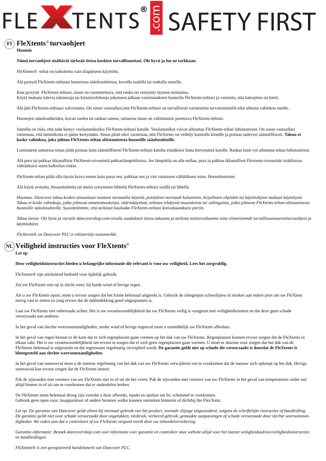### $\mathbf{F}$ I)  $\mathbf{F}$ le $\mathbf{X}$ tents®turvaohjeet

**Huomio**

### **Nämä turvaohjeet sisältävät tärkeää tietoa koskien turvallisuuttasi. Ole hyvä ja lue ne tarkkaan.**

FleXtents® -teltat on tarkoitettu vain tilapäiseen käyttöön.

Älä pystytä FleXtents-telttaasi huonoissa sääolosuhteissa, kovalla tuulella tai rankalla sateella.

Kun pystytät FleXtents-telttasi, sinun on varmistettava, että runko on venytetty täyteen mittaansa. Käytä mukana tulevia tukinaruja tai kiinnityshihnoja jokaiseen jalkaan varmistaaksesi kunnolla FleXtents-telttasi ja varmista, että kattopinta on kireä.

Älä jätä FleXtents-telttaasi valvomatta. On sinun vastuullasi,että FleXtents-telttasi on turvallisesti varmistettu turvaremmeillä eikä aiheuta vahinkoa muille.

Huonojen sääolosuhteiden, kovan tuulen tai rankan sateen, sattuessa sinun on välittömästi purettava FleXtents-telttasi.

Sateella on riski, että sade kertyy vesilammikoiksi FleXtents-telttasi katolle. Vesilammikot voivat aiheuttaa FleXtents-teltan luhistumisen. On sinun vastuullasi varmistaa, että lammikoita ei pääse kertymään. Sinun pitää siksi varmistaa, että FleXtents on vedetty kunnolla kireälle ja poistaa sadevesi säännöllisesti. **Takuu ei koske vahinkoa, joka johtuu FleXtents-teltan altistamisesta huonoille sääolosuhteille.**

Lumisateen sattuessa sinun pitää poistaa lumi säännöllisesti FleXtents-telttasi katolta estääksesi lunta kertymästä katolle. Raskas lumi voi aiheuttaa teltan luhistumisen.

Älä pura tai pakkaa ikkunallisia FleXtents-sivuseiniä pakkaslämpötiloissa. Jos lämpötila on alle nollan, pura ja pakkaa ikkunalliset Flextents-sivuseinät sisätiloissa välttääksesi osien halkeilun riskin.

FleXtents-teltan pitää olla täysin kuiva ennen kuin purat sen, pakkaat sen ja viet varastoon välttääksesi esim. Homehtumisen.

Älä käytä avotulta, hitsauslaitteita tai muita syttymisen lähteitä FleXtents-telttasi sisällä tai lähellä.

*Huomaa: Dancover takuu koskee ainoastaan tuotteen normaalia käyttöä, poislukien normaali kuluminen, kirjallisten ohjeiden tai käyttöohjeen mukaan käytettynä. Takuu ei koske vahinkoja, jotka johtuvat onnettomuuksista, väärinkäytöstä, telttaan tehdyistä muutoksista tai vahingoista, jotka johtuvat FleXtents-teltan altistamisesta huonoille sääolosuhteille. Suosittelemme, että tarkistat kuuluuko FleXtents-telttasi kotivakuutuksesi piiriin.*

*Takuu tietoa: Ole hyvä ja vieraile dancovershop.com-sivulla saadaksesi tietoa takuusta ja tarkista nettisivuiltamme aina viimeisimmät turvallisuusneuvot/turvaohjeet ja käyttöohjeet.*

*FleXtents*® *on Dancover PLC:n rekisteröity tuotemerkki.*

### **Veiligheid instructies voor FleXtents** ® **NL**

**Let op**

### **Deze veiligheidsinstructies bieden u belangrijke informatie die relevant is voor uw veiligheid. Lees het zorgvuldig.**

FleXtents® zijn uitsluitend bedoeld voor tijdelijk gebruik.

Zet uw FleXtents niet op in slecht weer, bij harde wind of hevige regen.

Als u uw FleXtents opzet, moet u ervoor zorgen dat het frame helemaal uitgerekt is. Gebruik de inbegrepen scheerlijnen of stroken aan iedere poot om uw FleXtent stevig vast te zetten en zorg ervoor dat de dakbedekking goed uitgespannen is.

Laat uw FleXtents niet onbewaakt achter. Het is uw verantwoordelijkheid dat uw FleXtents veilig is vastgezet met veiligheidsriemen en dat deze geen schade veroorzaakt aan anderen.

In het geval van slechte weersomstandigheden, sterke wind of hevige regenval moet u onmiddelijk uw FleXtents afbreken.

In het geval van regen bestaat er de kans dat er zich regenplassen gaan vormen op het dak van uw FleXtents. Regenplassen kunnen ervoor zorgen dat de FleXtents in elkaar zakt. Het is uw verantwoordelijkheid om ervoor te zorgen dat er zich geen regenplassen gaan vormen. U moet er daarom voor zorgen dat het dak van de FleXtents helemaal is uitgestrekt en dat regenwater regelmatig verwijderd wordt. **De garantie geldt niet op schade die veroorzaakt is doordat de FleXtents is blootgesteld aan slechte weersomstandigheden.**

In het geval van sneeuwval moet u de sneeuw regelmatig van het dak van uw FleXtents verwijderen om te voorkomen dat de sneeuw zich ophoopt op het dak. Hevige sneeuwval kan ervoor zorgen dat de FleXtents instort.

Pak de zijwanden met vensters van uw FleXtents niet in of uit als het vriest. Pak de zijwanden met vensters van uw FleXtents in het geval van temperaturen onder nul altijd binnen in of uit om te voorkomen dat er onderdelen breken.

De FleXtents moet helemaal droog zijn voordat u deze afbreekt, inpakt en opslaat om bv. schimmel te voorkomen. Gebruik geen open vuur, lasapparatuur of andere bronnen welke kunnen ontsteken binnenin of dichtbij the FlexTents.

*Let op: De garantie van Dancover geldt alleen bij normaal gebruik van het product, normale slijtage uitgezonderd, volgens de schriftelijke instructies of handleiding. De garantie geldt niet voor schade veroorzaakt door ongelukken, misbruik, verkeerd gebruik, gemaakte aanpassingen of schade veroorzaakt door slechte weersomstandigheden. We raden aan dat u controleert of uw FleXtents vergoed wordt door uw inboedelverzekering.*

Garantie-informatie: Bezoek dancovershop.com voor informatie over garantie en controleer onze website altijd voor het laatste veiligheidsadvies/veiligheidsinstructies *en handleidingen.*

*FleXtents® is een geregistreerd handelsmerk van Dancover PLC.*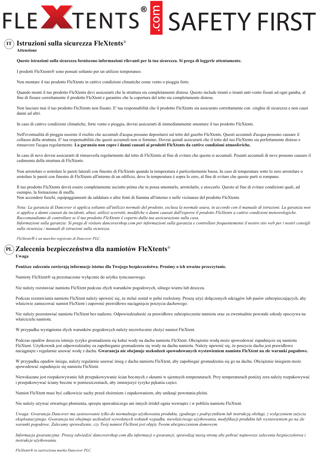### ® **Istruzioni sulla sicurezza FleXtents IT**

**Attenzione**

### **Queste istruzioni sulla sicurezza forniscono informazioni rilevanti per la tua sicurezza. Si prega di leggerle attentamente.**

I prodotti FleXtents® sono pensati soltanto per un utilizzo temporaneo.

Non montare il tuo prodotto FleXtents in cattive condizioni climatiche come vento o pioggia forte.

Quando monti il tuo prodotto FleXtents devi assicurarti che la struttura sia completamente distesa. Questo include tiranti o tiranti anti-vento fissati ad ogni gamba, al fine di fissare correttamente il prodotto FleXtent e garantire che la copertura del tetto sia completamente distesa.

Non lasciare mai il tuo prodotto FleXtents non fissato. E' tua responsabilità che il prodotto FleXtents sia assicurato correttamente con cinghie di sicurezza e non causi danni ad altri.

In caso di cattive condizioni climatiche, forte vento o pioggia, dovrai assicurarti di immediatamente smontare il tuo prodotto FleXtents.

Nell'eventualità di pioggia sussiste il rischio che accumuli d'acqua possano depositarsi sul tetto del gazebo FleXtents. Questi accumuli d'acqua possono causare il collasso della struttura. E' tua responsabilità che questi accumuli non si formino. Dovrai quindi assicurarti che il tetto del tuo FleXtents sia perfettamente disteso e rimuovere l'acqua regolarmente. **La garanzia non copre i danni causati ai prodotti FleXtents da cattive condizioni atmosferiche.**

In caso di neve dovrai assicurarti di rimuoverla regolarmente dal tetto di FleXtents al fine di evitare che questa si accumuli. Pesanti accumuli di neve possono causare il cedimento della struttura di FleXtents.

Non arrotolare o srotolare le pareti laterali con finestre di FleXtents quando la temperatura è particolarmente bassa. In caso di temperature sotto lo zero arrotolare o srotolare le pareti con finestre di FleXtents all'interno di un edificio, dove la temperatura è sopra lo zero, al fine di evitare che queste parti si rompano.

Il tuo prodotto FleXtents dovrà essere completamente asciutto prima che tu possa smontarlo, arrotolarlo, e stoccarlo. Questo al fine di evitare condizioni quali, ad esempio, la formazione di muffa.

Non accendere fuochi, equipaggiamenti da saldatura o altre fonti di fiamma all'interno o nelle vicinanze del prodotto FleXtents.

*Nota: La garanzia di Dancover si applica soltanto all'utilizzo normale del prodotto, esclusa la normale usura, in accordo con il manuale di istruzioni. La garanzia non si applica a danni causati da incidenti, abusi, utilizzi scorretti, modifiche o danni causati dall'esporre il prodotto FleXtents a cattive condizioni meteorologiche. Raccomandiamo di controllare se il tuo prodotto FleXtents è coperto dalla tua assicurazione sulla casa. Informazioni sulla garanzia: Si prega di visitare dancovershop.com per informazioni sulla garanzia e controllare frequentemente il nostro sito web per i nostri consigli* 

*sulla sicurezza / manuali di istruzioni sulla sicurezza.*

*FleXtents*® *è un marchio registrato di Dancover PLC.*

### **Zalecenia bezpieczeństwa dla namiotów FleXtents** ® **PLUwaga**

### **Poniższe zalecenia zawierają informacje istotne dla Twojego bezpieczeństwa. Prosimy o ich uważne przeczytanie.**

Namioty FleXtent® są przeznaczone wyłącznie do użytku tymczasowego.

Nie należy rozstawiać namiotu FleXtent podczas złych warunków pogodowych, silnego wiatru lub deszczu.

Podczas rozstawiania namiotu FleXtent należy upewnić się, że stelaż został w pełni rozłożony. Proszę użyć dołączonych odciągów lub pasów zabezpieczających, aby właściwie zamocować namiot FleXtent i zapewnić prawidłowe naciągnięcie poszycia dachowego.

Nie należy pozostawiać namiotu FleXtent bez nadzoru. Odpowiedzialność za prawidłowe zabezpieczenie namiotu oraz za ewentualnie powstałe szkody spoczywa na właścicielu namiotu.

W przypadku wystąpienia złych warunków pogodowych należy niezwłocznie złożyć namiot FleXtent.

Podczas opadów deszczu istnieje ryzyko gromadzenia się kałuż wody na dachu namiotu FleXtent. Obciążenie wodą może spowodować zapadnięcie się namiotu FleXtent. Użytkownik jest odpowiedzialny za zapobieganie gromadzeniu się wody na dachu namiotu. Należy upewnić się, że poszycie dachu jest prawidłowo naciągnięte i regularnie usuwać wodę z dachu. **Gwarancja nie obejmuje uszkodzeń spowodowanych wystawieniem namiotu FleXtent na złe warunki pogodowe.**

W przypadku opadów śniegu, należy regularnie usuwać śnieg z dachu namiotu FleXtent, aby zapobiegać gromadzeniu się go na dachu. Obciążenie śniegiem może spowodować zapadnięcie się namiotu FleXtent.

Niewskazane jest rozpakowywanie lub przepakowywanie ścian bocznych z oknami w ujemnych temperaturach. Przy temperaturach poniżej zera należy rozpakowywać i przepakowywać ściany boczne w pomieszczeniach, aby zmniejszyć ryzyko pękania części.

Namiot FleXtent musi być całkowicie suchy przed złożeniem i zapakowaniem, aby uniknąć powstania pleśni.

Nie należy używać otwartego płomienia, sprzętu spawalniczego ani innych źródeł ognia wewnątrz i w pobliżu namiotu FleXtent.

*Uwaga: Gwarancja Dancover ma zastosowanie tylko do normalnego użytkowania produktu, zgodnego z podręcznikiem lub instrukcją obsługi, z wyłączeniem zużycia eksploatacyjnego. Gwarancja nie obejmuje uszkodzeń wywołanych wskutek wypadku, niewłaściwego użytkowania, modyfikacji produktu lub wystawieniem go na złe warunki pogodowe. Zalecamy sprawdzenie, czy Twój namiot FleXtent jest objęty Twoim ubezpieczeniem domowym.*

*Informacja gwarancyjna: Proszę odwiedzić dancovershop.com dla informacji o gwarancji, sprawdzaj naszą stronę aby pobrać najnowsze zalecenia bezpieczeństwa i instrukcje użytkowania.*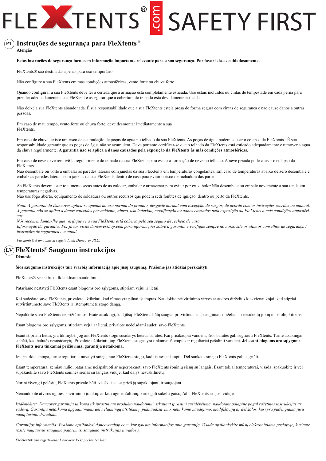### ® **Instruções de segurança para FleXtents PT**

**Atenção**

### **Estas instruções de segurança fornecem informação importante relevante para a sua segurança. Por favor leia-as cuidadosamente.**

FleXtents® são destinadas apenas para uso temporário.

Não configure a sua FleXtents em más condições atmosféricas, vento forte ou chuva forte.

Quando configurar a sua FleXtents deve ter a certeza que a armação está completamente esticada. Use estais incluídos ou cintas de tempestade em cada perna para prender adequadamente a sua FleXtent e assegurar que a cobertura do telhado está devidamente esticada.

Não deixe a sua FleXtents abandonada. É sua responsabilidade que a sua FleXtents esteja presa de forma segura com cintas de segurança e não cause danos a outras pessoas.

Em caso de mau tempo, vento forte ou chuva forte, deve desmontar imediatamente a sua FleXtents.

Em caso de chuva, existe um risco de acumulação de poças de água no telhado da sua FleXtents. As poças de água podem causar o colapso da FleXtents . É sua responsabilidade garantir que as poças de água não se acumulem. Deve portanto certificar-se que o telhado da FleXtents está esticado adequadamente e remover a água da chuva regularmente. **A garantia não se aplica a danos causados pela exposição da FleXtents às más condições atmosféricas.**

Em caso de neve deve removê-la regularmente do telhado da sua FleXtents para evitar a formação de neve no telhado. A neve pesada pode causar o colapso da FleXtents.

Não desembale ou volte a embalar as paredes laterais com janelas da sua FleXtents em temperaturas congelantes. Em caso de temperaturas abaixo de zero desembale e embale as paredes laterais com janelas da sua FleXtents dentro de casa para evitar o risco de rachadura das partes.

As FleXtents devem estar totalmente secas antes de as colocar, embalar e armazenar para evitar por ex. o bolor.Não desembale ou embale novamente a sua tenda em temperaturas negativas.

Não use fogo aberto, equipamento de soldadura ou outros recursos que podem sedr fonbtes de ignição, dentro ou perto da FleXtents.

*Nota: A garantia da Dancover aplica-se apenas ao uso normal do produto, desgaste normal com excepção de rasgos, de acordo com as instruções escritas ou manual. A garantia não se aplica a danos causados por acidente, abuso, uso indevido, modificação ou danos causados pela exposição da FleXtents a más condições atmosféricas.*

*Nós recomendamos-lhe que verifique se a sua FleXtents está coberta pelo seu seguro de recheio de casa. Informação da garantia: Por favor, visite dancovershop.com para informações sobre a garantia e verifique sempre no nosso site os últimos conselhos de segurança / instruções de segurança e manual.*

*FleXtents® é uma marca registada da Dancover PLC.*

### ® **FleXtents Saugumo instrukcijos LV**

**Dėmesio**

### **Šios saugumo instrukcijos turi svarbią informaciją apie jūsų saugumą. Prašome jas atidžiai perskaityti.**

FleXtents® yra skirtos tik laikinam naudojimui.

Patariame nestatyti FleXtents esant blogoms oro sąlygoms, stipriam vėjui ir lietui.

Kai sudedate savo FleXtents, privalote užtikrinti, kad rėmas yra pilnai ištemptas. Naudokite pritvirtinimo virves ar audros dirželius kiekvienai kojai, kad stipriai sutvirtintumėte savo FleXtents ir ištemptumėte stogo dangą.

Nepalikite savo FleXtents neprižiūrimos. Esate atsakingi, kad jūsų FleXtents būtų saugiai pritvirtinta su apsauginiais dirželiais ir nesukeltų jokių nuostolių kitiems.

Esant blogoms oro sąlygoms, stipriam vėjui ar lietui, privalote nedelsdami sudėti savo FleXtents.

Esant stipriam lietui, yra tikimybė, jog ant FleXtents stogo susidarys lietaus balutės. Kai prisikaupia vandens, šios balutės gali sugriauti FleXtents. Turite atsakingai stebėti, kad balutės nesusidarytų. Privalote užtikrinti, jog FleXtents stogas yra tinkamai ištemptas ir reguliariai pašalinti vandenį. **Jei esant blogoms oro sąlygoms FleXtents nėra tinkamai prižiūrima, garantija netaikoma.**

Jei smarkiai sninga, turite reguliariai nuvalyti sniegą nuo FleXtents stogo, kad jis nesusikauptų. Dėl sunkaus sniego FleXtents gali sugriūti.

Esant temperatūrai žemiau nulio, patariame neišpakuoti ar neperpakuoti savo FleXtents šoninių sienų su langais. Esant tokiai temperatūrai, visada išpakuokite ir vėl supakuokite savo FleXtents šonines sienas su langais viduje, kad dalys nesuskilinėtų.

Norint išvengti pelėsių, FleXtents privalo būti visiškai sausa prieš ją supakuojant, ir saugojant.

Nenaudokite atviros ugnies, suvirinimo įrankių, ar kitų ugnies šaltinių, kurie gali sukelti gaisrą šalia FleXtents ar jos viduje.

*Įsidėmėkite: Dancover garantija taikoma tik įprastiniam produkto naudojimui, įskaitant įprastinį susidėvėjimą, naudojant palapinę pagal rašytines instrukcijas ar vadovą. Garantija netaikoma apgadinimams dėl nelaimingų atsitikimų, piktnaudžiavimo, netinkamo naudojimo, modifikacijų ar dėl žalos, kuri yra padengiama jūsų namų turinio draudimu.*

*Garantijos informacija: Prašome apsilankyti dancovershop.com, kur gausite informacijos apie garantiją. Visada apsilankykite mūsų elektroniniame puslapyje, kuriame rasite naujausius saugumo patarimus, saugumo instrukcijas ir vadovą.*

*FleXtents® yra registruotas Dancover PLC prekės ženklas.*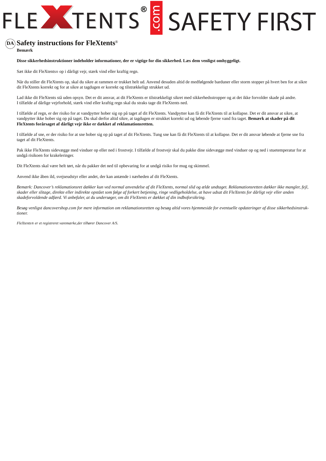### ® **Safety instructions for FleXtents DA**

**Bemærk**

### **Disse sikkerhedsinstruktioner indeholder informationer, der er vigtige for din sikkerhed. Læs dem venligst omhyggeligt.**

Sæt ikke dit FleXtents*®* op i dårligt vejr, stærk vind eller kraftig regn.

Når du stiller dit FleXtents op, skal du sikre at rammen er trukket helt ud. Anvend desuden altid de medfølgende barduner eller storm stopper på hvert ben for at sikre dit FleXtents korrekt og for at sikre at tagdugen er korrekt og tilstrækkeligt strukket ud.

Lad ikke dit FleXtents stå uden opsyn. Det er dit ansvar, at dit FleXtents er tilstrækkeligt sikret med sikkerhedsstropper og at det ikke forvolder skade på andre. I tilfælde af dårlige vejrforhold, stærk vind eller kraftig regn skal du straks tage dit FleXtents ned.

I tilfælde af regn, er der risiko for at vandpytter hober sig op på taget af dit FleXtents. Vandpytter kan få dit FleXtents til at kollapse. Det er dit ansvar at sikre, at vandpytter ikke hober sig op på taget. Du skal derfor altid sikre, at tagdugen er strukket korrekt ud og løbende fjerne vand fra taget. **Bemærk at skader på dit FleXtents forårsaget af dårligt vejr ikke er dækket af reklamationsretten.**

I tilfælde af sne, er der risiko for at sne hober sig op på taget af dit FleXtents. Tung sne kan få dit FleXtents til at kollapse. Det er dit ansvar løbende at fjerne sne fra taget af dit FleXtents.

Pak ikke FleXtents sidevægge med vinduer op eller ned i frostvejr. I tilfælde af frostvejr skal du pakke dine sidevægge med vinduer op og ned i stuetemperatur for at undgå risikoen for krakeleringer.

Dit FleXtents skal være helt tørt, når du pakker det ned til opbevaring for at undgå risiko for mug og skimmel.

Anvend ikke åben ild, svejseudstyr eller andet, der kan antænde i nærheden af dit FleXtents.

*Bemærk: Dancover's reklamationsret dækker kun ved normal anvendelse af dit FleXtents, normal slid og ælde undtaget. Reklamationsretten dækker ikke mangler, fejl, skader eller slitage, direkte eller indirekte opstået som følge af forkert betjening, ringe vedligeholdelse, at have udsat dit FleXtents for dårligt vejr eller anden skadeforvoldende adfærd. Vi anbefaler, at du undersøger, om dit FleXtents er dækket af din indboforsikring.*

*Besøg venligst dancovershop.com for mere information om reklamationsretten og besøg altid vores hjemmeside for eventuelle opdateringer af disse sikkerhedsinstruktioner.*

*FleXtents® er et registreret varemærke,der tilhører Dancover A/S.*